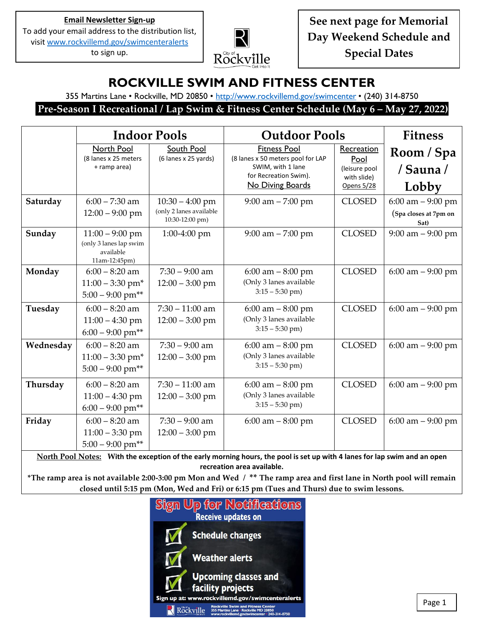**Email Newsletter Sign-up** To add your email address to the distribution list, visi[t www.rockvillemd.gov/swimcenteralerts](http://www.rockvillemd.gov/swimcenteralerts)

to sign up.



**See next page for Memorial Day Weekend Schedule and Special Dates**

### **ROCKVILLE SWIM AND FITNESS CENTER**

355 Martins Lane • Rockville, MD 20850 • <http://www.rockvillemd.gov/swimcenter> • (240) 314-8750

**Pre-Season I Recreational / Lap Swim & Fitness Center Schedule (May 6 – May 27, 2022)**

|                                                                                                                                                         | <b>Indoor Pools</b>                                                       |                                                                 | <b>Outdoor Pools</b>                                                                                                       | <b>Fitness</b>                                                   |                                                       |  |
|---------------------------------------------------------------------------------------------------------------------------------------------------------|---------------------------------------------------------------------------|-----------------------------------------------------------------|----------------------------------------------------------------------------------------------------------------------------|------------------------------------------------------------------|-------------------------------------------------------|--|
|                                                                                                                                                         | North Pool<br>(8 lanes x 25 meters<br>+ ramp area)                        | South Pool<br>(6 lanes x 25 yards)                              | <b>Fitness Pool</b><br>(8 lanes x 50 meters pool for LAP<br>SWIM, with 1 lane<br>for Recreation Swim).<br>No Diving Boards | Recreation<br>Pool<br>(leisure pool<br>with slide)<br>Opens 5/28 | Room / Spa<br>/ Sauna /<br>Lobby                      |  |
| Saturday                                                                                                                                                | $6:00 - 7:30$ am<br>$12:00 - 9:00$ pm                                     | $10:30 - 4:00$ pm<br>(only 2 lanes available<br>10:30-12:00 pm) | $9:00$ am $- 7:00$ pm                                                                                                      | <b>CLOSED</b>                                                    | $6:00$ am $-9:00$ pm<br>(Spa closes at 7pm on<br>Sat) |  |
| Sunday                                                                                                                                                  | $11:00 - 9:00$ pm<br>(only 3 lanes lap swim<br>available<br>11am-12:45pm) | $1:00-4:00$ pm                                                  | $9:00$ am $- 7:00$ pm                                                                                                      | <b>CLOSED</b>                                                    | $9:00$ am $-9:00$ pm                                  |  |
| Monday                                                                                                                                                  | $6:00 - 8:20$ am<br>$11:00 - 3:30$ pm <sup>*</sup><br>$5:00 - 9:00$ pm**  | $7:30 - 9:00$ am<br>$12:00 - 3:00$ pm                           | $6:00$ am $-8:00$ pm<br>(Only 3 lanes available<br>$3:15 - 5:30$ pm)                                                       | <b>CLOSED</b>                                                    | $6:00$ am $-9:00$ pm                                  |  |
| Tuesday                                                                                                                                                 | $6:00 - 8:20$ am<br>$11:00 - 4:30$ pm<br>$6:00 - 9:00$ pm**               | $7:30 - 11:00$ am<br>$12:00 - 3:00$ pm                          | $6:00$ am $-8:00$ pm<br>(Only 3 lanes available<br>$3:15 - 5:30$ pm)                                                       | <b>CLOSED</b>                                                    | $6:00$ am $-9:00$ pm                                  |  |
| Wednesday                                                                                                                                               | $6:00 - 8:20$ am<br>$11:00 - 3:30$ pm*<br>$5:00 - 9:00$ pm**              | $7:30 - 9:00$ am<br>$12:00 - 3:00$ pm                           | $6:00$ am $-8:00$ pm<br>(Only 3 lanes available<br>$3:15 - 5:30$ pm)                                                       | <b>CLOSED</b>                                                    | $6:00$ am $-9:00$ pm                                  |  |
| Thursday                                                                                                                                                | $6:00 - 8:20$ am<br>$11:00 - 4:30$ pm<br>$6:00 - 9:00$ pm**               | $7:30 - 11:00$ am<br>$12:00 - 3:00$ pm                          | $6:00$ am $-8:00$ pm<br>(Only 3 lanes available<br>$3:15 - 5:30$ pm)                                                       | <b>CLOSED</b>                                                    | $6:00$ am $-9:00$ pm                                  |  |
| Friday                                                                                                                                                  | $6:00 - 8:20$ am<br>$11:00 - 3:30$ pm<br>$5:00 - 9:00$ pm**               | $7:30 - 9:00$ am<br>$12:00 - 3:00$ pm                           | $6:00$ am $-8:00$ pm                                                                                                       | <b>CLOSED</b>                                                    | $6:00$ am $-9:00$ pm                                  |  |
| North Pool Notes: With the exception of the early morning hours, the pool is set up with 4 lanes for lap swim and an open<br>recreation area available. |                                                                           |                                                                 |                                                                                                                            |                                                                  |                                                       |  |

**\*The ramp area is not available 2:00-3:00 pm Mon and Wed / \*\* The ramp area and first lane in North pool will remain closed until 5:15 pm (Mon, Wed and Fri) or 6:15 pm (Tues and Thurs) due to swim lessons.**



Page 1